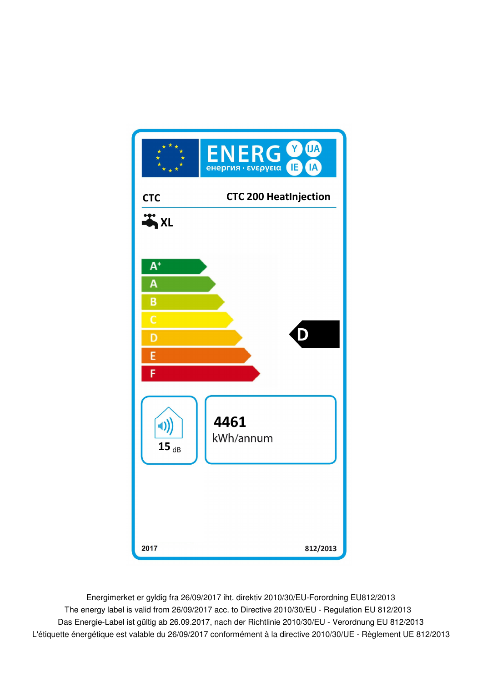

Energimerket er gyldig fra 26/09/2017 iht. direktiv 2010/30/EU-Forordning EU812/2013 Das Energie-Label ist gültig ab 26.09.2017, nach der Richtlinie 2010/30/EU - Verordnung EU 812/2013 The energy label is valid from 26/09/2017 acc. to Directive 2010/30/EU - Regulation EU 812/2013 L'étiquette énergétique est valable du 26/09/2017 conformément à la directive 2010/30/UE - Règlement UE 812/2013